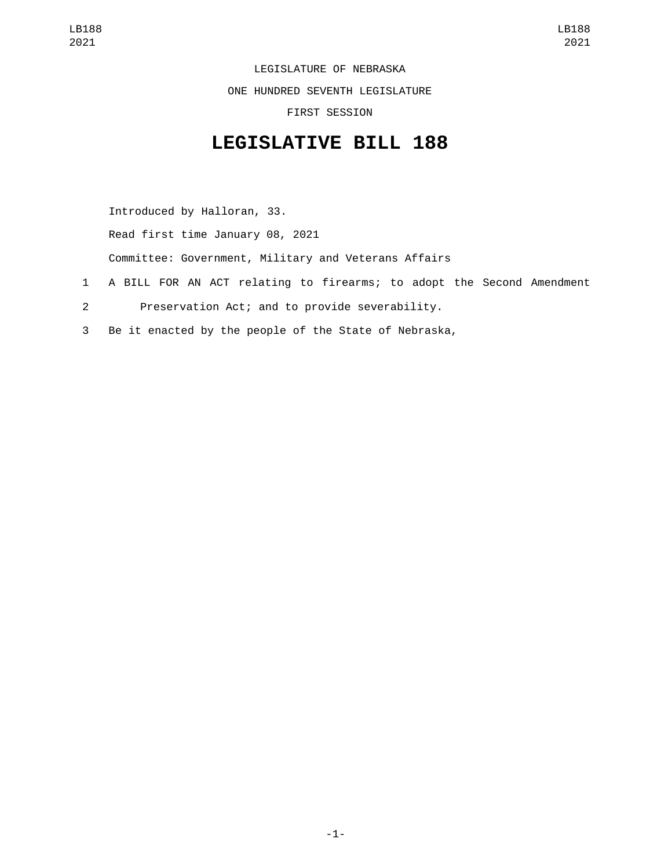LEGISLATURE OF NEBRASKA

ONE HUNDRED SEVENTH LEGISLATURE

FIRST SESSION

## **LEGISLATIVE BILL 188**

Introduced by Halloran, 33. Read first time January 08, 2021 Committee: Government, Military and Veterans Affairs 1 A BILL FOR AN ACT relating to firearms; to adopt the Second Amendment

- 2 Preservation Act; and to provide severability.
- 3 Be it enacted by the people of the State of Nebraska,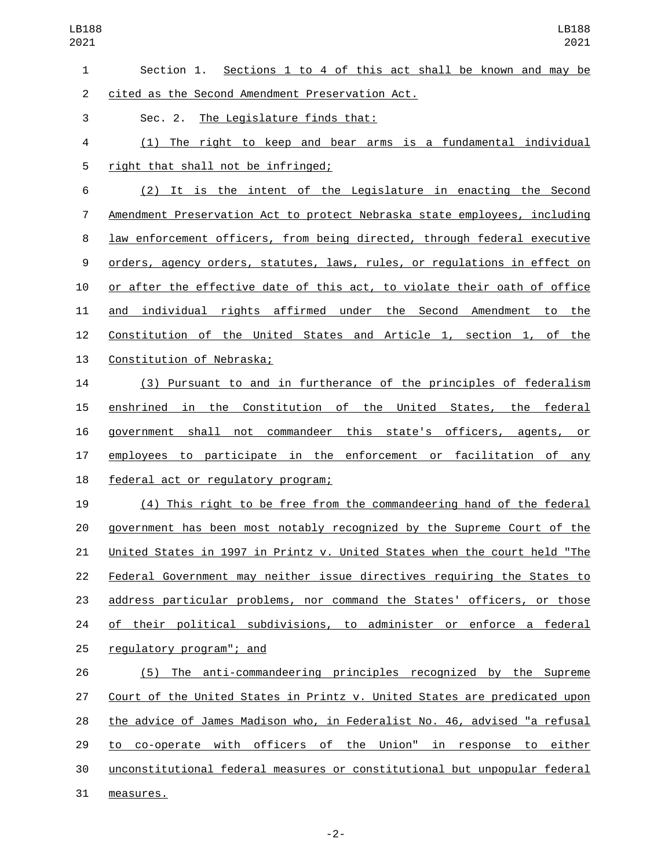| $\mathbf{1}$   | Section 1. Sections 1 to 4 of this act shall be known and may be          |
|----------------|---------------------------------------------------------------------------|
| $\overline{2}$ | cited as the Second Amendment Preservation Act.                           |
| 3              | Sec. 2. The Legislature finds that:                                       |
| 4              | (1) The right to keep and bear arms is a fundamental individual           |
| 5              | right that shall not be infringed;                                        |
| 6              | (2) It is the intent of the Legislature in enacting the Second            |
| $\overline{7}$ | Amendment Preservation Act to protect Nebraska state employees, including |
| 8              | law enforcement officers, from being directed, through federal executive  |
| 9              | orders, agency orders, statutes, laws, rules, or regulations in effect on |
| 10             | or after the effective date of this act, to violate their oath of office  |
| 11             | and individual rights affirmed under the Second Amendment to the          |
| 12             | Constitution of the United States and Article 1, section 1, of the        |
| 13             | Constitution of Nebraska;                                                 |
| 14             | (3) Pursuant to and in furtherance of the principles of federalism        |
| 15             | enshrined in the Constitution of the United States, the federal           |
| 16             | government shall not commandeer this state's officers, agents, or         |
| 17             | employees to participate in the enforcement or facilitation of any        |
| 18             | federal act or regulatory program;                                        |
| 19             | (4) This right to be free from the commandeering hand of the federal      |
| 20             | government has been most notably recognized by the Supreme Court of the   |
| 21             | United States in 1997 in Printz v. United States when the court held "The |
| 22             | Federal Government may neither issue directives requiring the States to   |
| 23             | address particular problems, nor command the States' officers, or those   |
| 24             | of their political subdivisions, to administer or enforce a federal       |
| 25             | regulatory program"; and                                                  |
| 26             | (5) The anti-commandeering principles recognized by the Supreme           |
| 27             | Court of the United States in Printz v. United States are predicated upon |
| 28             | the advice of James Madison who, in Federalist No. 46, advised "a refusal |
| 29             | to co-operate with officers of the Union" in response to either           |
| 30             | unconstitutional federal measures or constitutional but unpopular federal |
| 31             | measures.                                                                 |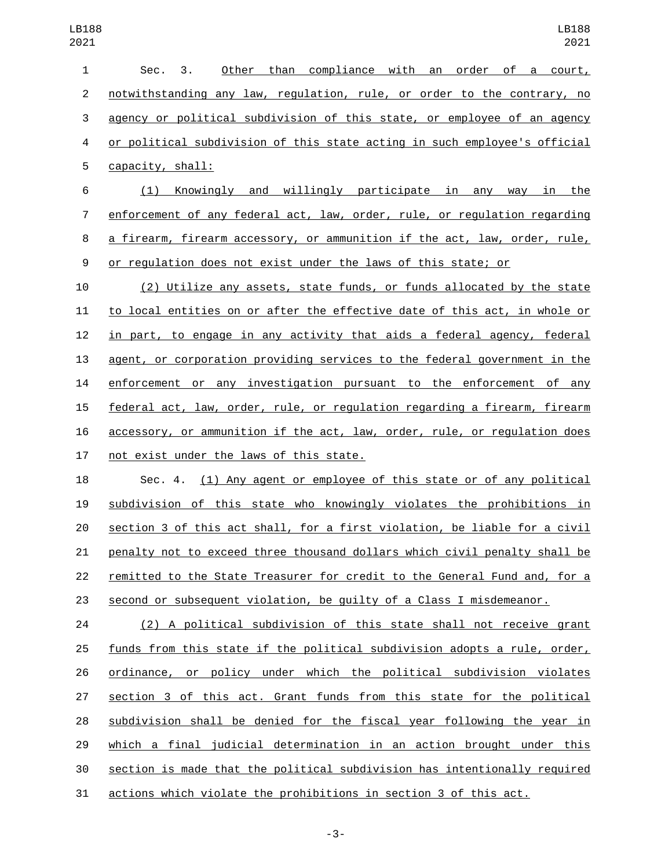| $\mathbf{1}$   | Other than compliance with an order of a court,<br>Sec. 3.                |
|----------------|---------------------------------------------------------------------------|
| $\overline{2}$ | notwithstanding any law, regulation, rule, or order to the contrary, no   |
| 3              | agency or political subdivision of this state, or employee of an agency   |
| 4              | or political subdivision of this state acting in such employee's official |
| 5              | capacity, shall:                                                          |
| 6              | <u>Knowingly and willingly participate in any way in the</u><br>(1)       |
| 7              | enforcement of any federal act, law, order, rule, or regulation regarding |
| 8              | a firearm, firearm accessory, or ammunition if the act, law, order, rule, |
| 9              | or regulation does not exist under the laws of this state; or             |
| 10             | (2) Utilize any assets, state funds, or funds allocated by the state      |
| 11             | to local entities on or after the effective date of this act, in whole or |
| 12             | in part, to engage in any activity that aids a federal agency, federal    |
| 13             | agent, or corporation providing services to the federal government in the |
| 14             | enforcement or any investigation pursuant to the enforcement of any       |
| 15             | federal act, law, order, rule, or regulation regarding a firearm, firearm |
| 16             | accessory, or ammunition if the act, law, order, rule, or regulation does |
| 17             | not exist under the laws of this state.                                   |
| 18             | Sec. 4. (1) Any agent or employee of this state or of any political       |
| 19             | subdivision of this state who knowingly violates the prohibitions in      |
| 20             | section 3 of this act shall, for a first violation, be liable for a civil |

 remitted to the State Treasurer for credit to the General Fund and, for a 23 second or subsequent violation, be quilty of a Class I misdemeanor.

penalty not to exceed three thousand dollars which civil penalty shall be

 (2) A political subdivision of this state shall not receive grant funds from this state if the political subdivision adopts a rule, order, ordinance, or policy under which the political subdivision violates section 3 of this act. Grant funds from this state for the political subdivision shall be denied for the fiscal year following the year in which a final judicial determination in an action brought under this section is made that the political subdivision has intentionally required actions which violate the prohibitions in section 3 of this act.